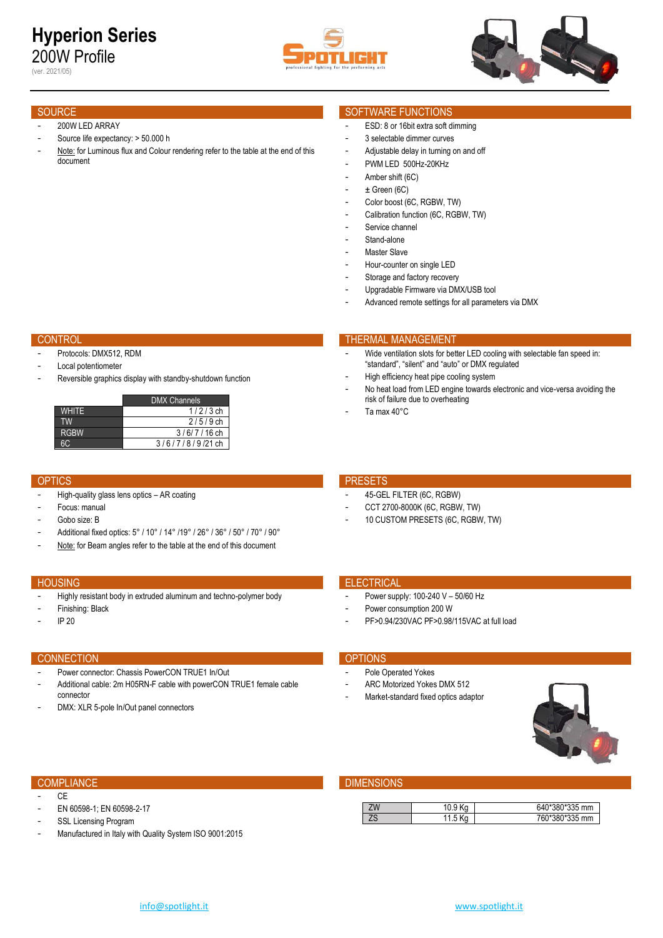# **Hyperion Series** 200W Profile

(ver. 2021/05)





### 200W LED ARRAY

- Source life expectancy: > 50.000 h
- Note: for Luminous flux and Colour rendering refer to the table at the end of this document

- Protocols: DMX512, RDM
- Local potentiometer
- Reversible graphics display with standby-shutdown function

|              | <b>DMX Channels</b> |
|--------------|---------------------|
| <b>WHITE</b> | $1/2/3$ ch          |
| TW           | $2/5/9$ ch          |
| <b>RGBW</b>  | $3/6/7/16$ ch       |
|              | $3/6/7/8/9/21$ ch   |

- High-quality glass lens optics AR coating
- Focus: manual
- Gobo size: B
- Additional fixed optics: 5° / 10° / 14° /19° / 26° / 36° / 50° / 70° / 90°
- Note: for Beam angles refer to the table at the end of this document

- Highly resistant body in extruded aluminum and techno-polymer body
- Finishing: Black
- IP 20

### CONNECTION **CONNECTION**

 $C<sub>F</sub>$ 

- Power connector: Chassis PowerCON TRUE1 In/Out
- Additional cable: 2m H05RN-F cable with powerCON TRUE1 female cable connector
- DMX: XLR 5-pole In/Out panel connectors

EN 60598-1; EN 60598-2-17 SSL Licensing Program

## SOURCE SOURCE SOURCE SOURCE SOURCE SOURCE SOURCE SOURCE SOURCE SOURCE SOURCE SOURCE SOURCE SOURCE SOURCE SOURCE

- ESD: 8 or 16bit extra soft dimming
- 3 selectable dimmer curves
- Adjustable delay in turning on and off
- PWM LED 500Hz-20KHz
- Amber shift (6C)
- $\pm$  Green (6C)
- Color boost (6C, RGBW, TW)
- Calibration function (6C, RGBW, TW)
- Service channel
- Stand-alone
- Master Slave
- Hour-counter on single LED
- Storage and factory recovery
- Upgradable Firmware via DMX/USB tool
- Advanced remote settings for all parameters via DMX

### CONTROL THERMAL MANAGEMENT CONTROL THERMAL MANAGEMENT

- Wide ventilation slots for better LED cooling with selectable fan speed in: "standard", "silent" and "auto" or DMX regulated
- High efficiency heat pipe cooling system
- No heat load from LED engine towards electronic and vice-versa avoiding the risk of failure due to overheating
- Ta max 40°C

### OPTICS **PRESETS**

- 45-GEL FILTER (6C, RGBW)
- CCT 2700-8000K (6C, RGBW, TW)
- 10 CUSTOM PRESETS (6C, RGBW, TW)

### **HOUSING ELECTRICAL CONTRACT CONTRACT CONTRACT CONTRACT CONTRACT CONTRACT CONTRACT CONTRACT CONTRACT CONTRACT CONTRACT CONTRACT CONTRACT CONTRACT CONTRACT CONTRACT CONTRACT CONTRACT CONTRACT CONTRACT CONTRACT CONTRACT CONT**

- Power supply: 100-240 V 50/60 Hz
- Power consumption 200 W
- PF>0.94/230VAC PF>0.98/115VAC at full load

- Pole Operated Yokes
- ARC Motorized Yokes DMX 512
- Market-standard fixed optics adaptor



### **COMPLIANCE DIMENSIONS**

| ΖW        |      | 0*380*335 mm<br>640 <sup>-</sup> |
|-----------|------|----------------------------------|
| 70<br>י י | ل. ا | *380*335 mm<br>760               |

Manufactured in Italy with Quality System ISO 9001:2015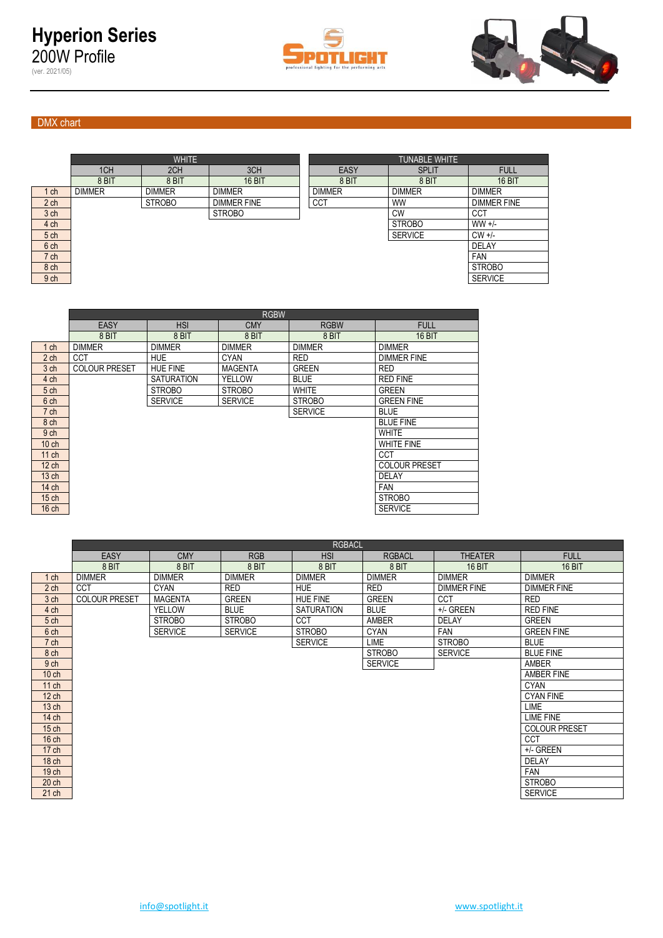



## DMX chart

(ver. 2021/05)

|                 |               | <b>WHITE</b>  |                    |               | <b>TUNABLE WHITE</b> |                    |  |  |  |  |  |  |  |
|-----------------|---------------|---------------|--------------------|---------------|----------------------|--------------------|--|--|--|--|--|--|--|
|                 | 1CH           | 2CH           | 3CH                | <b>EASY</b>   | <b>SPLIT</b>         | <b>FULL</b>        |  |  |  |  |  |  |  |
|                 | 8 BIT         | 8 BIT         | <b>16 BIT</b>      | 8 BIT         | 8 BIT                | <b>16 BIT</b>      |  |  |  |  |  |  |  |
| ch              | <b>DIMMER</b> | <b>DIMMER</b> | <b>DIMMER</b>      | <b>DIMMER</b> | <b>DIMMER</b>        | <b>DIMMER</b>      |  |  |  |  |  |  |  |
| 2 <sub>ch</sub> |               | <b>STROBO</b> | <b>DIMMER FINE</b> | <b>CCT</b>    | <b>WW</b>            | <b>DIMMER FINE</b> |  |  |  |  |  |  |  |
| 3 ch            |               |               | <b>STROBO</b>      |               | <b>CW</b>            | <b>CCT</b>         |  |  |  |  |  |  |  |
| 4 ch            |               |               |                    |               | <b>STROBO</b>        | $WW +/-$           |  |  |  |  |  |  |  |
| 5 ch            |               |               |                    |               | <b>SERVICE</b>       | $CW +/-$           |  |  |  |  |  |  |  |
| 6 ch            |               |               |                    |               |                      | <b>DELAY</b>       |  |  |  |  |  |  |  |
| 7 ch            |               |               |                    |               |                      | <b>FAN</b>         |  |  |  |  |  |  |  |
| 8 ch            |               |               |                    |               |                      | <b>STROBO</b>      |  |  |  |  |  |  |  |
| 9 ch            |               |               |                    |               |                      | <b>SERVICE</b>     |  |  |  |  |  |  |  |

| <b>EASY</b><br><b>HSI</b><br><b>RGBW</b><br><b>CMY</b><br><b>FULL</b><br><b>16 BIT</b><br>8 BIT<br>8 BIT<br>8 BIT<br>8 BIT<br><b>DIMMER</b><br><b>DIMMER</b><br><b>DIMMER</b><br><b>DIMMER</b><br><b>DIMMER</b><br>$1$ ch<br>2 <sub>ch</sub><br><b>CCT</b><br><b>RED</b><br><b>HUE</b><br><b>CYAN</b><br><b>DIMMER FINE</b><br>3 <sub>ch</sub><br><b>COLOUR PRESET</b><br><b>HUE FINE</b><br><b>GREEN</b><br><b>RED</b><br><b>MAGENTA</b><br>4 ch<br><b>SATURATION</b><br>YELLOW<br><b>BLUE</b><br><b>RED FINE</b><br><b>WHITE</b><br><b>GREEN</b><br><b>STROBO</b><br><b>STROBO</b><br>5 <sub>ch</sub> |      | <b>RGBW</b> |                |                |               |                   |  |  |  |  |  |  |  |  |
|---------------------------------------------------------------------------------------------------------------------------------------------------------------------------------------------------------------------------------------------------------------------------------------------------------------------------------------------------------------------------------------------------------------------------------------------------------------------------------------------------------------------------------------------------------------------------------------------------------|------|-------------|----------------|----------------|---------------|-------------------|--|--|--|--|--|--|--|--|
|                                                                                                                                                                                                                                                                                                                                                                                                                                                                                                                                                                                                         |      |             |                |                |               |                   |  |  |  |  |  |  |  |  |
|                                                                                                                                                                                                                                                                                                                                                                                                                                                                                                                                                                                                         |      |             |                |                |               |                   |  |  |  |  |  |  |  |  |
|                                                                                                                                                                                                                                                                                                                                                                                                                                                                                                                                                                                                         |      |             |                |                |               |                   |  |  |  |  |  |  |  |  |
|                                                                                                                                                                                                                                                                                                                                                                                                                                                                                                                                                                                                         |      |             |                |                |               |                   |  |  |  |  |  |  |  |  |
|                                                                                                                                                                                                                                                                                                                                                                                                                                                                                                                                                                                                         |      |             |                |                |               |                   |  |  |  |  |  |  |  |  |
|                                                                                                                                                                                                                                                                                                                                                                                                                                                                                                                                                                                                         |      |             |                |                |               |                   |  |  |  |  |  |  |  |  |
|                                                                                                                                                                                                                                                                                                                                                                                                                                                                                                                                                                                                         |      |             |                |                |               |                   |  |  |  |  |  |  |  |  |
|                                                                                                                                                                                                                                                                                                                                                                                                                                                                                                                                                                                                         | 6 ch |             | <b>SERVICE</b> | <b>SERVICE</b> | <b>STROBO</b> | <b>GREEN FINE</b> |  |  |  |  |  |  |  |  |
| <b>SERVICE</b><br><b>BLUE</b><br>7 ch                                                                                                                                                                                                                                                                                                                                                                                                                                                                                                                                                                   |      |             |                |                |               |                   |  |  |  |  |  |  |  |  |
| 8 ch<br><b>BLUE FINE</b>                                                                                                                                                                                                                                                                                                                                                                                                                                                                                                                                                                                |      |             |                |                |               |                   |  |  |  |  |  |  |  |  |
| <b>WHITE</b><br>9 <sub>ch</sub>                                                                                                                                                                                                                                                                                                                                                                                                                                                                                                                                                                         |      |             |                |                |               |                   |  |  |  |  |  |  |  |  |
| $10$ ch<br><b>WHITE FINE</b>                                                                                                                                                                                                                                                                                                                                                                                                                                                                                                                                                                            |      |             |                |                |               |                   |  |  |  |  |  |  |  |  |
| CCT<br>$11$ ch                                                                                                                                                                                                                                                                                                                                                                                                                                                                                                                                                                                          |      |             |                |                |               |                   |  |  |  |  |  |  |  |  |
| $12$ ch<br><b>COLOUR PRESET</b>                                                                                                                                                                                                                                                                                                                                                                                                                                                                                                                                                                         |      |             |                |                |               |                   |  |  |  |  |  |  |  |  |
| 13 <sub>ch</sub><br>DELAY                                                                                                                                                                                                                                                                                                                                                                                                                                                                                                                                                                               |      |             |                |                |               |                   |  |  |  |  |  |  |  |  |
| <b>FAN</b><br>$14$ ch                                                                                                                                                                                                                                                                                                                                                                                                                                                                                                                                                                                   |      |             |                |                |               |                   |  |  |  |  |  |  |  |  |
| <b>STROBO</b><br>$15$ ch                                                                                                                                                                                                                                                                                                                                                                                                                                                                                                                                                                                |      |             |                |                |               |                   |  |  |  |  |  |  |  |  |
| 16 <sub>ch</sub><br><b>SERVICE</b>                                                                                                                                                                                                                                                                                                                                                                                                                                                                                                                                                                      |      |             |                |                |               |                   |  |  |  |  |  |  |  |  |

|                  |                      |                |                | <b>RGBACL</b>     |                |                    |                      |
|------------------|----------------------|----------------|----------------|-------------------|----------------|--------------------|----------------------|
|                  | <b>EASY</b>          | <b>CMY</b>     | <b>RGB</b>     | <b>HSI</b>        | <b>RGBACL</b>  | <b>THEATER</b>     | <b>FULL</b>          |
|                  | 8 BIT                | 8 BIT          | 8 BIT          | 8 BIT             | 8 BIT          | <b>16 BIT</b>      | <b>16 BIT</b>        |
| 1 <sub>ch</sub>  | <b>DIMMER</b>        | <b>DIMMER</b>  | <b>DIMMER</b>  | <b>DIMMER</b>     | <b>DIMMER</b>  | <b>DIMMER</b>      | <b>DIMMER</b>        |
| 2 <sub>ch</sub>  | <b>CCT</b>           | <b>CYAN</b>    | <b>RED</b>     | <b>HUE</b>        | <b>RED</b>     | <b>DIMMER FINE</b> | <b>DIMMER FINE</b>   |
| 3 ch             | <b>COLOUR PRESET</b> | <b>MAGENTA</b> | <b>GREEN</b>   | <b>HUE FINE</b>   | <b>GREEN</b>   | <b>CCT</b>         | <b>RED</b>           |
| 4 ch             |                      | <b>YELLOW</b>  | <b>BLUE</b>    | <b>SATURATION</b> | <b>BLUE</b>    | +/- GREEN          | <b>RED FINE</b>      |
| 5 ch             |                      | <b>STROBO</b>  | <b>STROBO</b>  | CCT               | <b>AMBER</b>   | <b>DELAY</b>       | <b>GREEN</b>         |
| 6 ch             |                      | <b>SERVICE</b> | <b>SERVICE</b> | <b>STROBO</b>     | <b>CYAN</b>    | <b>FAN</b>         | <b>GREEN FINE</b>    |
| 7 ch             |                      |                |                | <b>SERVICE</b>    | LIME           | <b>STROBO</b>      | <b>BLUE</b>          |
| 8 ch             |                      |                |                |                   | <b>STROBO</b>  | <b>SERVICE</b>     | <b>BLUE FINE</b>     |
| 9 ch             |                      |                |                |                   | <b>SERVICE</b> |                    | <b>AMBER</b>         |
| $10$ ch          |                      |                |                |                   |                |                    | AMBER FINE           |
| 11 ch            |                      |                |                |                   |                |                    | <b>CYAN</b>          |
| $12$ ch          |                      |                |                |                   |                |                    | <b>CYAN FINE</b>     |
| 13 <sub>ch</sub> |                      |                |                |                   |                |                    | <b>LIME</b>          |
| 14 ch            |                      |                |                |                   |                |                    | LIME FINE            |
| 15 <sub>ch</sub> |                      |                |                |                   |                |                    | <b>COLOUR PRESET</b> |
| $16$ ch          |                      |                |                |                   |                |                    | <b>CCT</b>           |
| 17 <sub>ch</sub> |                      |                |                |                   |                |                    | +/- GREEN            |
| 18 <sub>ch</sub> |                      |                |                |                   |                |                    | <b>DELAY</b>         |
| 19 <sub>ch</sub> |                      |                |                |                   |                |                    | <b>FAN</b>           |
| 20 <sub>ch</sub> |                      |                |                |                   |                |                    | <b>STROBO</b>        |
| $21$ ch          |                      |                |                |                   |                |                    | <b>SERVICE</b>       |